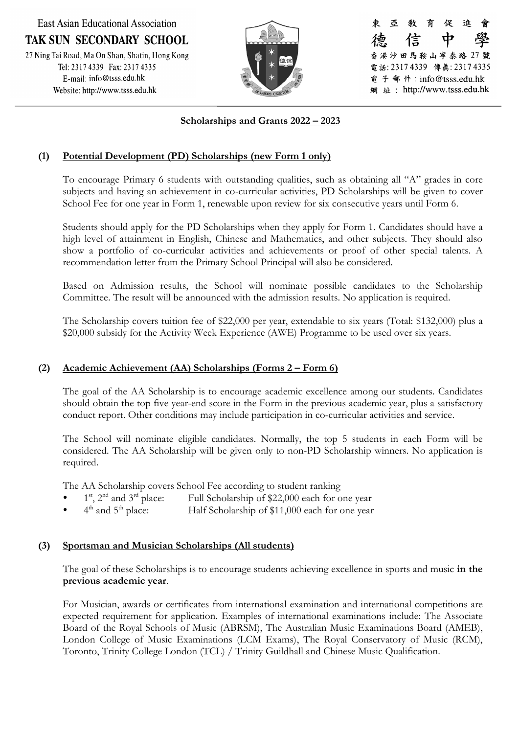**East Asian Educational Association TAK SUN SECONDARY SCHOOL** 27 Ning Tai Road, Ma On Shan, Shatin, Hong Kong<br>Tel: 2317 4339 Fax: 2317 4335 E-mail: info@tsss.edu.hk Website: http://www.tsss.edu.hk



-25 育 促 谁 信 香港沙田馬鞍山寧泰路 27 號 電話: 23174339 傳真: 23174335 電子郵件: info@tsss.edu.hk 網 址: http://www.tsss.edu.hk

## **Scholarships and Grants 2022 – 2023**

### **(1) Potential Development (PD) Scholarships (new Form 1 only)**

To encourage Primary 6 students with outstanding qualities, such as obtaining all "A" grades in core subjects and having an achievement in co-curricular activities, PD Scholarships will be given to cover School Fee for one year in Form 1, renewable upon review for six consecutive years until Form 6.

Students should apply for the PD Scholarships when they apply for Form 1. Candidates should have a high level of attainment in English, Chinese and Mathematics, and other subjects. They should also show a portfolio of co-curricular activities and achievements or proof of other special talents. A recommendation letter from the Primary School Principal will also be considered.

Based on Admission results, the School will nominate possible candidates to the Scholarship Committee. The result will be announced with the admission results. No application is required.

The Scholarship covers tuition fee of \$22,000 per year, extendable to six years (Total: \$132,000) plus a \$20,000 subsidy for the Activity Week Experience (AWE) Programme to be used over six years.

#### **(2) Academic Achievement (AA) Scholarships (Forms 2 – Form 6)**

The goal of the AA Scholarship is to encourage academic excellence among our students. Candidates should obtain the top five year-end score in the Form in the previous academic year, plus a satisfactory conduct report. Other conditions may include participation in co-curricular activities and service.

The School will nominate eligible candidates. Normally, the top 5 students in each Form will be considered. The AA Scholarship will be given only to non-PD Scholarship winners. No application is required.

The AA Scholarship covers School Fee according to student ranking

- $1<sup>st</sup>$ ,  $2<sup>nd</sup>$  and  $3<sup>rd</sup>$  place: Full Scholarship of \$22,000 each for one year
- $4<sup>th</sup>$  and  $5<sup>th</sup>$  place: Half Scholarship of \$11,000 each for one year

### **(3) Sportsman and Musician Scholarships (All students)**

The goal of these Scholarships is to encourage students achieving excellence in sports and music **in the previous academic year**.

For Musician, awards or certificates from international examination and international competitions are expected requirement for application. Examples of international examinations include: The Associate Board of the Royal Schools of Music (ABRSM), The Australian Music Examinations Board (AMEB), London College of Music Examinations (LCM Exams), The Royal Conservatory of Music (RCM), Toronto, Trinity College London (TCL) / Trinity Guildhall and Chinese Music Qualification.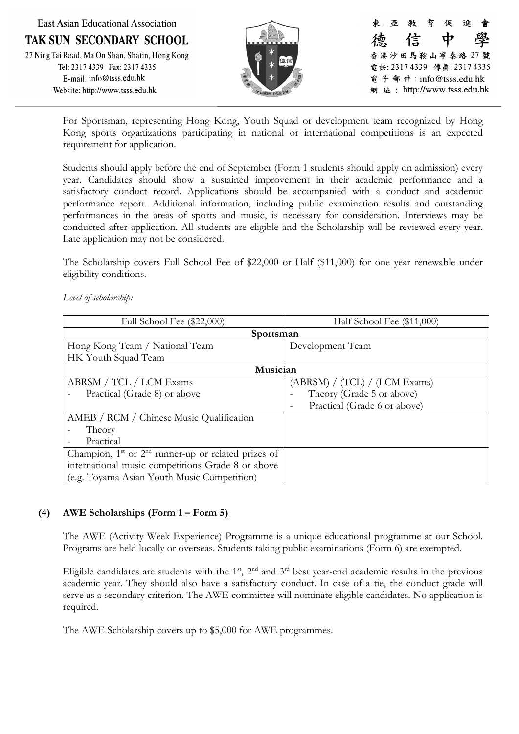**East Asian Educational Association TAK SUN SECONDARY SCHOOL** 27 Ning Tai Road, Ma On Shan, Shatin, Hong Kong<br>Tel: 2317 4339 Fax: 2317 4335 E-mail: info@tsss.edu.hk Website: http://www.tsss.edu.hk



亞 育 促 谁 信 ф 香港沙田馬鞍山寧泰路 27 號 電話: 23174339 傳真: 23174335 電 子 郵 件:info@tsss.edu.hk 網 址: http://www.tsss.edu.hk

For Sportsman, representing Hong Kong, Youth Squad or development team recognized by Hong Kong sports organizations participating in national or international competitions is an expected requirement for application.

Students should apply before the end of September (Form 1 students should apply on admission) every year. Candidates should show a sustained improvement in their academic performance and a satisfactory conduct record. Applications should be accompanied with a conduct and academic performance report. Additional information, including public examination results and outstanding performances in the areas of sports and music, is necessary for consideration. Interviews may be conducted after application. All students are eligible and the Scholarship will be reviewed every year. Late application may not be considered.

The Scholarship covers Full School Fee of \$22,000 or Half (\$11,000) for one year renewable under eligibility conditions.

### *Level of scholarship:*

| Full School Fee (\$22,000)                              | Half School Fee (\$11,000)    |  |
|---------------------------------------------------------|-------------------------------|--|
| Sportsman                                               |                               |  |
| Hong Kong Team / National Team                          | Development Team              |  |
| HK Youth Squad Team                                     |                               |  |
| Musician                                                |                               |  |
| ABRSM / TCL / LCM Exams                                 | (ABRSM) / (TCL) / (LCM Exams) |  |
| Practical (Grade 8) or above                            | Theory (Grade 5 or above)     |  |
|                                                         | Practical (Grade 6 or above)  |  |
| AMEB / RCM / Chinese Music Qualification                |                               |  |
| Theory                                                  |                               |  |
| Practical                                               |                               |  |
| Champion, $1st$ or $2nd$ runner-up or related prizes of |                               |  |
| international music competitions Grade 8 or above       |                               |  |
| (e.g. Toyama Asian Youth Music Competition)             |                               |  |

### **(4) AWE Scholarships (Form 1 – Form 5)**

The AWE (Activity Week Experience) Programme is a unique educational programme at our School. Programs are held locally or overseas. Students taking public examinations (Form 6) are exempted.

Eligible candidates are students with the  $1<sup>st</sup>$ ,  $2<sup>nd</sup>$  and  $3<sup>rd</sup>$  best year-end academic results in the previous academic year. They should also have a satisfactory conduct. In case of a tie, the conduct grade will serve as a secondary criterion. The AWE committee will nominate eligible candidates. No application is required.

The AWE Scholarship covers up to \$5,000 for AWE programmes.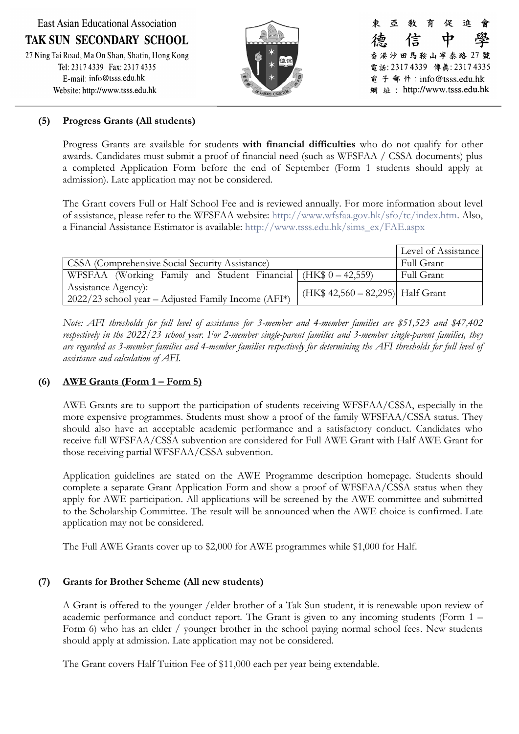**East Asian Educational Association** 

**TAK SUN SECONDARY SCHOOL** 

27 Ning Tai Road, Ma On Shan, Shatin, Hong Kong<br>Tel: 2317 4339 Fax: 2317 4335 E-mail: info@tsss.edu.hk Website: http://www.tsss.edu.hk



亞 育 促 谁 敎 信 ф 香港沙田馬鞍山寧泰路 27 號 電話: 23174339 傳真: 23174335 電子郵件: info@tsss.edu.hk 網 址: http://www.tsss.edu.hk

## **(5) Progress Grants (All students)**

Progress Grants are available for students **with financial difficulties** who do not qualify for other awards. Candidates must submit a proof of financial need (such as WFSFAA / CSSA documents) plus a completed Application Form before the end of September (Form 1 students should apply at admission). Late application may not be considered.

The Grant covers Full or Half School Fee and is reviewed annually. For more information about level of assistance, please refer to the WFSFAA website: [http://www.wfsfaa.gov.hk/sfo/tc/index.htm.](http://www.wfsfaa.gov.hk/sfo/tc/index.htm) Also, a Financial Assistance Estimator is available: [http://www.tsss.edu.hk/sims\\_ex/FAE.aspx](http://www.tsss.edu.hk/sims_ex/FAE.aspx)

|                                                                                                    |                                    | Level of Assistance |
|----------------------------------------------------------------------------------------------------|------------------------------------|---------------------|
| <b>CSSA</b> (Comprehensive Social Security Assistance)                                             |                                    | Full Grant          |
| WFSFAA (Working Family and Student Financial (HK $$0 - 42,559$ )                                   |                                    | Full Grant          |
| Assistance Agency:<br>$\left( \frac{2022}{23} \right)$ school year – Adjusted Family Income (AFI*) | $(HK$ 42,560 - 82,295)$ Half Grant |                     |

*Note: AFI thresholds for full level of assistance for 3-member and 4-member families are \$51,523 and \$47,402 respectively in the 2022/23 school year. For 2-member single-parent families and 3-member single-parent families, they are regarded as 3-member families and 4-member families respectively for determining the AFI thresholds for full level of assistance and calculation of AFI.*

# **(6) AWE Grants (Form 1 – Form 5)**

AWE Grants are to support the participation of students receiving WFSFAA/CSSA, especially in the more expensive programmes. Students must show a proof of the family WFSFAA/CSSA status. They should also have an acceptable academic performance and a satisfactory conduct. Candidates who receive full WFSFAA/CSSA subvention are considered for Full AWE Grant with Half AWE Grant for those receiving partial WFSFAA/CSSA subvention.

Application guidelines are stated on the AWE Programme description homepage. Students should complete a separate Grant Application Form and show a proof of WFSFAA/CSSA status when they apply for AWE participation. All applications will be screened by the AWE committee and submitted to the Scholarship Committee. The result will be announced when the AWE choice is confirmed. Late application may not be considered.

The Full AWE Grants cover up to \$2,000 for AWE programmes while \$1,000 for Half.

## **(7) Grants for Brother Scheme (All new students)**

A Grant is offered to the younger /elder brother of a Tak Sun student, it is renewable upon review of academic performance and conduct report. The Grant is given to any incoming students (Form 1 – Form 6) who has an elder / younger brother in the school paying normal school fees. New students should apply at admission. Late application may not be considered.

The Grant covers Half Tuition Fee of \$11,000 each per year being extendable.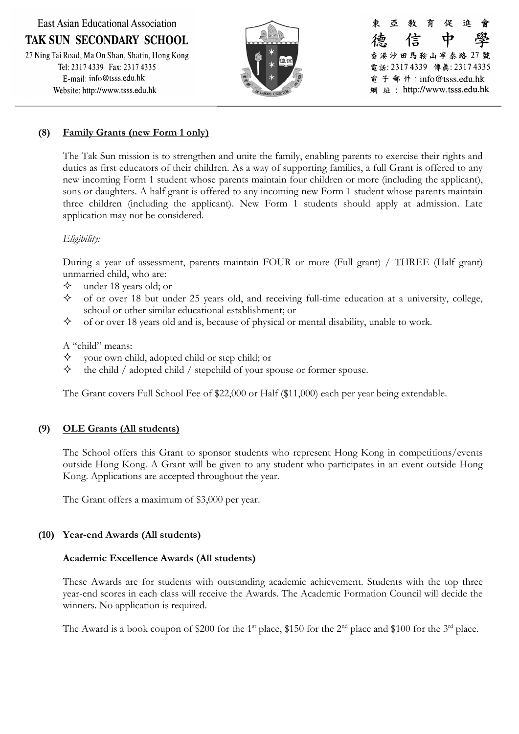**East Asian Educational Association** 

**TAK SUN SECONDARY SCHOOL** 

27 Ning Tai Road, Ma On Shan, Shatin, Hong Kong<br>Tel: 2317 4339 Fax: 2317 4335 E-mail: info@tsss.edu.hk Website: http://www.tsss.edu.hk



亞 育 促 谁 敎 信 Ф 香港沙田馬鞍山寧泰路 27 號 電話: 2317 4339 傳真: 2317 4335 電子郵件: info@tsss.edu.hk 網 址: http://www.tsss.edu.hk

# **(8) Family Grants (new Form 1 only)**

The Tak Sun mission is to strengthen and unite the family, enabling parents to exercise their rights and duties as first educators of their children. As a way of supporting families, a full Grant is offered to any new incoming Form 1 student whose parents maintain four children or more (including the applicant), sons or daughters. A half grant is offered to any incoming new Form 1 student whose parents maintain three children (including the applicant). New Form 1 students should apply at admission. Late application may not be considered.

### *Eligibility:*

During a year of assessment, parents maintain FOUR or more (Full grant) / THREE (Half grant) unmarried child, who are:

- $\diamond$  under 18 years old; or
- $\diamond$  of or over 18 but under 25 years old, and receiving full-time education at a university, college, school or other similar educational establishment; or
- $\diamondsuit$  of or over 18 years old and is, because of physical or mental disability, unable to work.

### A "child" means:

- $\diamond$  your own child, adopted child or step child; or
- $\diamond$  the child / adopted child / stepchild of your spouse or former spouse.

The Grant covers Full School Fee of \$22,000 or Half (\$11,000) each per year being extendable.

## **(9) OLE Grants (All students)**

The School offers this Grant to sponsor students who represent Hong Kong in competitions/events outside Hong Kong. A Grant will be given to any student who participates in an event outside Hong Kong. Applications are accepted throughout the year.

The Grant offers a maximum of \$3,000 per year.

### **(10) Year-end Awards (All students)**

### **Academic Excellence Awards (All students)**

These Awards are for students with outstanding academic achievement. Students with the top three year-end scores in each class will receive the Awards. The Academic Formation Council will decide the winners. No application is required.

The Award is a book coupon of \$200 for the 1<sup>st</sup> place, \$150 for the 2<sup>nd</sup> place and \$100 for the 3<sup>rd</sup> place.